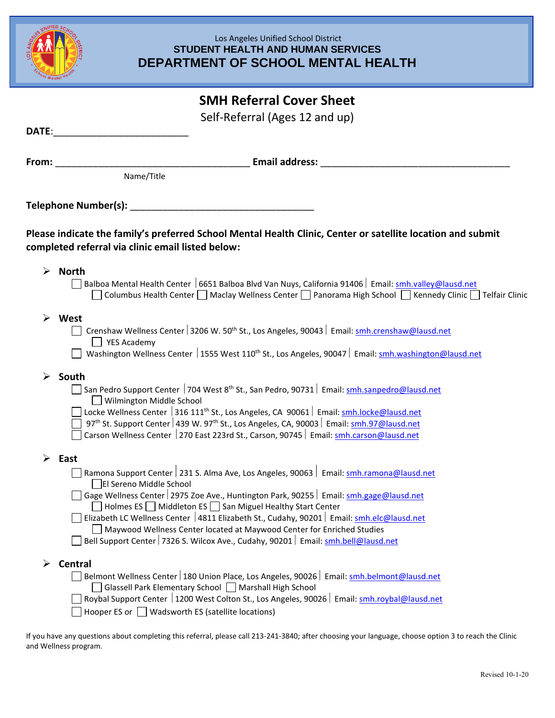

### Los Angeles Unified School District **STUDENT HEALTH AND HUMAN SERVICES DEPARTMENT OF SCHOOL MENTAL HEALTH**

# **SMH Referral Cover Sheet**

Self-Referral (Ages 12 and up)

| Date:                 |                                                                                                                                                                                                                                                                                                                                                                                                                                                                                                                                                     |  |  |
|-----------------------|-----------------------------------------------------------------------------------------------------------------------------------------------------------------------------------------------------------------------------------------------------------------------------------------------------------------------------------------------------------------------------------------------------------------------------------------------------------------------------------------------------------------------------------------------------|--|--|
| From:                 | <b>Email address:</b>                                                                                                                                                                                                                                                                                                                                                                                                                                                                                                                               |  |  |
|                       | Name/Title                                                                                                                                                                                                                                                                                                                                                                                                                                                                                                                                          |  |  |
|                       | Telephone Number(s):                                                                                                                                                                                                                                                                                                                                                                                                                                                                                                                                |  |  |
|                       | Please indicate the family's preferred School Mental Health Clinic, Center or satellite location and submit<br>completed referral via clinic email listed below:                                                                                                                                                                                                                                                                                                                                                                                    |  |  |
| $\blacktriangleright$ | <b>North</b><br>Balboa Mental Health Center   6651 Balboa Blvd Van Nuys, California 91406   Email: smh.valley@lausd.net<br>Columbus Health Center Maclay Wellness Center Panorama High School Rennedy Clinic Telfair Clinic                                                                                                                                                                                                                                                                                                                         |  |  |
|                       | West<br>Crenshaw Wellness Center 3206 W. 50 <sup>th</sup> St., Los Angeles, 90043   Email: smh.crenshaw@lausd.net<br>$\blacksquare$ YES Academy<br>Washington Wellness Center   1555 West 110 <sup>th</sup> St., Los Angeles, 90047   Email: smh.washington@lausd.net                                                                                                                                                                                                                                                                               |  |  |
| ➤                     | South<br>San Pedro Support Center 704 West 8 <sup>th</sup> St., San Pedro, 90731 Email: smh.sanpedro@lausd.net<br>Wilmington Middle School<br>Locke Wellness Center 316 111 <sup>th</sup> St., Los Angeles, CA 90061   Email: smh.locke@lausd.net<br>97 <sup>th</sup> St. Support Center 439 W. 97 <sup>th</sup> St., Los Angeles, CA, 90003   Email: smh.97@lausd.net<br>Carson Wellness Center 270 East 223rd St., Carson, 90745   Email: smh.carson@lausd.net                                                                                    |  |  |
| $\blacktriangleright$ | East<br>Ramona Support Center   231 S. Alma Ave, Los Angeles, 90063   Email: smh.ramona@lausd.net<br>El Sereno Middle School<br>Gage Wellness Center 2975 Zoe Ave., Huntington Park, 90255   Email: smh.gage@lausd.net<br>Holmes ES   Middleton ES   San Miguel Healthy Start Center<br>Elizabeth LC Wellness Center   4811 Elizabeth St., Cudahy, 90201   Email: smh.elc@lausd.net<br>Maywood Wellness Center located at Maywood Center for Enriched Studies<br>Bell Support Center 7326 S. Wilcox Ave., Cudahy, 90201   Email: smh.bell@lausd.net |  |  |
|                       | <b>Central</b><br>Belmont Wellness Center   180 Union Place, Los Angeles, 90026   Email: smh.belmont@lausd.net<br>Glassell Park Elementary School   Marshall High School<br>Roybal Support Center   1200 West Colton St., Los Angeles, 90026   Email: smh.roybal@lausd.net<br>Hooper ES or Wadsworth ES (satellite locations)                                                                                                                                                                                                                       |  |  |

If you have any questions about completing this referral, please call 213-241-3840; after choosing your language, choose option 3 to reach the Clinic and Wellness program.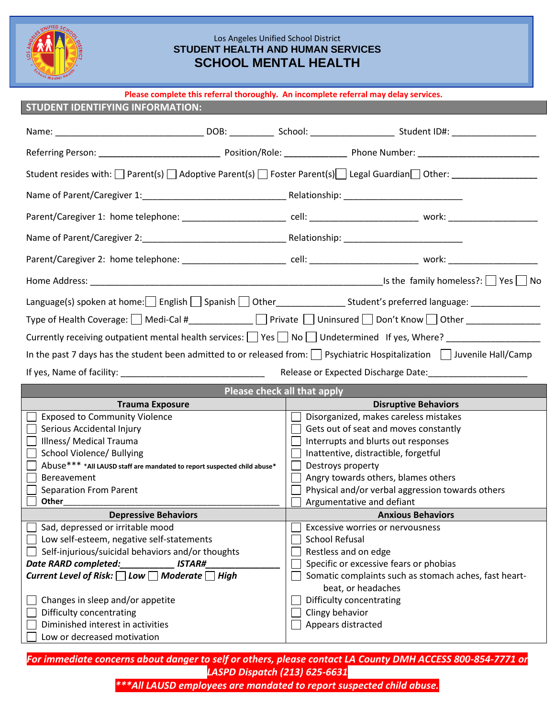

#### Los Angeles Unified School District **STUDENT HEALTH AND HUMAN SERVICES SCHOOL MENTAL HEALTH**

| Please complete this referral thoroughly. An incomplete referral may delay services.                                                    |                                                                             |  |  |
|-----------------------------------------------------------------------------------------------------------------------------------------|-----------------------------------------------------------------------------|--|--|
| <b>STUDENT IDENTIFYING INFORMATION:</b>                                                                                                 |                                                                             |  |  |
|                                                                                                                                         |                                                                             |  |  |
|                                                                                                                                         |                                                                             |  |  |
|                                                                                                                                         |                                                                             |  |  |
|                                                                                                                                         |                                                                             |  |  |
| Parent/Caregiver 1: home telephone: ________________________ cell: _____________________________ work: _____________                    |                                                                             |  |  |
|                                                                                                                                         |                                                                             |  |  |
| Parent/Caregiver 2: home telephone: _________________________ cell: ________________________________ work: ____________________________ |                                                                             |  |  |
|                                                                                                                                         |                                                                             |  |  |
| Language(s) spoken at home: English Spanish Other _______________Student's preferred language: _______________                          |                                                                             |  |  |
| Type of Health Coverage: $\Box$ Medi-Cal #_____________ $\Box$ Private $\Box$ Uninsured $\Box$ Don't Know $\Box$ Other ______________   |                                                                             |  |  |
| Currently receiving outpatient mental health services: Similary Resong Mo Sundetermined If yes, Where? Sundam Currence Monday           |                                                                             |  |  |
| In the past 7 days has the student been admitted to or released from: $\Box$ Psychiatric Hospitalization $\Box$ Juvenile Hall/Camp      |                                                                             |  |  |
| If yes, Name of facility: International Contract of the United States of the United States of the United States                         |                                                                             |  |  |
| Please check all that apply                                                                                                             |                                                                             |  |  |
| <b>Trauma Exposure</b>                                                                                                                  | <b>Disruptive Behaviors</b>                                                 |  |  |
| <b>Exposed to Community Violence</b>                                                                                                    | Disorganized, makes careless mistakes                                       |  |  |
| Serious Accidental Injury                                                                                                               | Gets out of seat and moves constantly                                       |  |  |
| Illness/ Medical Trauma                                                                                                                 | Interrupts and blurts out responses                                         |  |  |
| School Violence/ Bullying                                                                                                               | Inattentive, distractible, forgetful                                        |  |  |
| Abuse*** *All LAUSD staff are mandated to report suspected child abuse*                                                                 | $\Box$ Destroys property                                                    |  |  |
| Bereavement                                                                                                                             |                                                                             |  |  |
|                                                                                                                                         | Angry towards others, blames others                                         |  |  |
| <b>Separation From Parent</b>                                                                                                           | $\Box$ Physical and/or verbal aggression towards others                     |  |  |
| Other                                                                                                                                   | Argumentative and defiant                                                   |  |  |
| <b>Depressive Behaviors</b>                                                                                                             | <b>Anxious Behaviors</b>                                                    |  |  |
| Sad, depressed or irritable mood                                                                                                        | Excessive worries or nervousness                                            |  |  |
| Low self-esteem, negative self-statements                                                                                               | <b>School Refusal</b>                                                       |  |  |
| Self-injurious/suicidal behaviors and/or thoughts                                                                                       | Restless and on edge                                                        |  |  |
| Date RARD completed:<br><b>ISTAR#</b>                                                                                                   | Specific or excessive fears or phobias                                      |  |  |
| Current Level of Risk: $\Box$ Low $\Box$ Moderate $\Box$ High                                                                           | Somatic complaints such as stomach aches, fast heart-<br>beat, or headaches |  |  |
|                                                                                                                                         | Difficulty concentrating                                                    |  |  |
| Changes in sleep and/or appetite<br>Difficulty concentrating                                                                            | Clingy behavior                                                             |  |  |
| Diminished interest in activities                                                                                                       | Appears distracted                                                          |  |  |

*For immediate concerns about danger to self or others, please contact LA County DMH ACCESS 800-854-7771 or LASPD Dispatch (213) 625-6631*

*\*\*\*All LAUSD employees are mandated to report suspected child abuse.*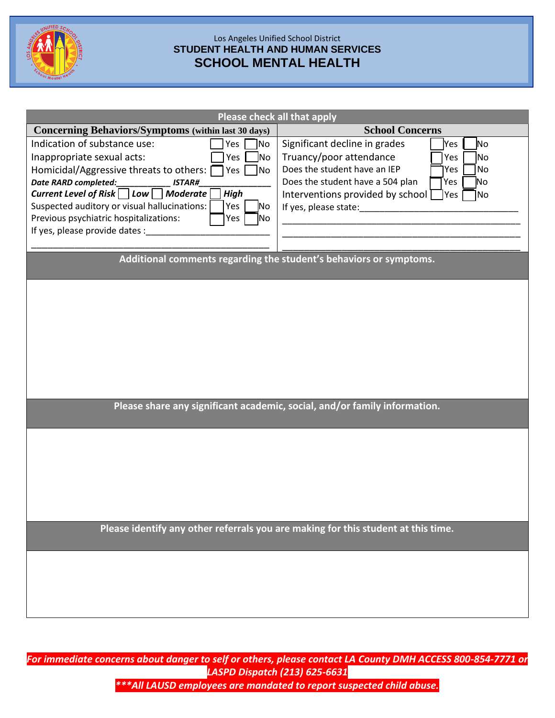

## Los Angeles Unified School District **STUDENT HEALTH AND HUMAN SERVICES SCHOOL MENTAL HEALTH**

| Please check all that apply                                                       |                                                         |  |  |
|-----------------------------------------------------------------------------------|---------------------------------------------------------|--|--|
| <b>Concerning Behaviors/Symptoms (within last 30 days)</b>                        | <b>School Concerns</b>                                  |  |  |
| Indication of substance use:<br>Yes<br>No                                         | Significant decline in grades<br>No<br>Yes              |  |  |
| Inappropriate sexual acts:<br>Yes  <br>lNo                                        | Truancy/poor attendance<br>N <sub>o</sub><br>Yes        |  |  |
| Homicidal/Aggressive threats to others: [<br>$Yes \t   No$                        | Does the student have an IEP<br>No<br>Yes               |  |  |
| Date RARD completed:<br><b>ISTAR#</b>                                             | Does the student have a 504 plan<br>No<br>Yes           |  |  |
| Current Level of Risk □ Low □ Moderate<br><b>High</b>                             | Interventions provided by school $\Box$<br> Yes <br>1No |  |  |
| Suspected auditory or visual hallucinations:<br>Yes<br>No.                        | If yes, please state:                                   |  |  |
| Previous psychiatric hospitalizations:<br>Yes<br> No                              |                                                         |  |  |
| If yes, please provide dates :                                                    |                                                         |  |  |
|                                                                                   |                                                         |  |  |
| Additional comments regarding the student's behaviors or symptoms.                |                                                         |  |  |
|                                                                                   |                                                         |  |  |
|                                                                                   |                                                         |  |  |
|                                                                                   |                                                         |  |  |
|                                                                                   |                                                         |  |  |
|                                                                                   |                                                         |  |  |
|                                                                                   |                                                         |  |  |
|                                                                                   |                                                         |  |  |
|                                                                                   |                                                         |  |  |
|                                                                                   |                                                         |  |  |
|                                                                                   |                                                         |  |  |
| Please share any significant academic, social, and/or family information.         |                                                         |  |  |
|                                                                                   |                                                         |  |  |
|                                                                                   |                                                         |  |  |
|                                                                                   |                                                         |  |  |
|                                                                                   |                                                         |  |  |
|                                                                                   |                                                         |  |  |
|                                                                                   |                                                         |  |  |
|                                                                                   |                                                         |  |  |
|                                                                                   |                                                         |  |  |
|                                                                                   |                                                         |  |  |
| Please identify any other referrals you are making for this student at this time. |                                                         |  |  |
|                                                                                   |                                                         |  |  |
|                                                                                   |                                                         |  |  |
|                                                                                   |                                                         |  |  |
|                                                                                   |                                                         |  |  |
|                                                                                   |                                                         |  |  |
|                                                                                   |                                                         |  |  |

*For immediate concerns about danger to self or others, please contact LA County DMH ACCESS 800-854-7771 or LASPD Dispatch (213) 625-6631 \*\*\*All LAUSD employees are mandated to report suspected child abuse.*